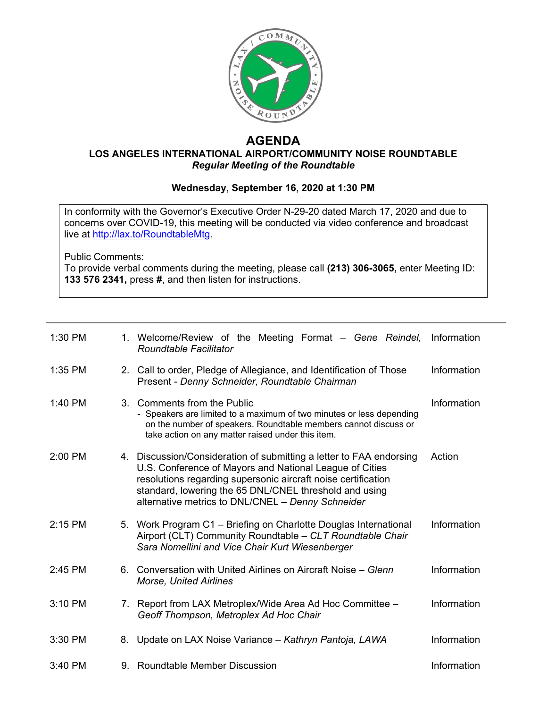

## **AGENDA**

## **LOS ANGELES INTERNATIONAL AIRPORT/COMMUNITY NOISE ROUNDTABLE** *Regular Meeting of the Roundtable*

## **Wednesday, September 16, 2020 at 1:30 PM**

In conformity with the Governor's Executive Order N-29-20 dated March 17, 2020 and due to concerns over COVID-19, this meeting will be conducted via video conference and broadcast live at [http://lax.to/RoundtableMtg.](http://lax.to/RoundtableMtg)

Public Comments:

To provide verbal comments during the meeting, please call **(213) 306-3065,** enter Meeting ID: **133 576 2341,** press **#**, and then listen for instructions.

| 1:30 PM   |    | 1. Welcome/Review of the Meeting Format – Gene Reindel,<br><b>Roundtable Facilitator</b>                                                                                                                                                                                                                       | Information |
|-----------|----|----------------------------------------------------------------------------------------------------------------------------------------------------------------------------------------------------------------------------------------------------------------------------------------------------------------|-------------|
| 1:35 PM   |    | 2. Call to order, Pledge of Allegiance, and Identification of Those<br>Present - Denny Schneider, Roundtable Chairman                                                                                                                                                                                          | Information |
| 1:40 PM   |    | 3. Comments from the Public<br>- Speakers are limited to a maximum of two minutes or less depending<br>on the number of speakers. Roundtable members cannot discuss or<br>take action on any matter raised under this item.                                                                                    | Information |
| $2:00$ PM |    | 4. Discussion/Consideration of submitting a letter to FAA endorsing<br>U.S. Conference of Mayors and National League of Cities<br>resolutions regarding supersonic aircraft noise certification<br>standard, lowering the 65 DNL/CNEL threshold and using<br>alternative metrics to DNL/CNEL - Denny Schneider | Action      |
| 2:15 PM   |    | 5. Work Program C1 - Briefing on Charlotte Douglas International<br>Airport (CLT) Community Roundtable - CLT Roundtable Chair<br>Sara Nomellini and Vice Chair Kurt Wiesenberger                                                                                                                               | Information |
| 2:45 PM   |    | 6. Conversation with United Airlines on Aircraft Noise – Glenn<br><b>Morse, United Airlines</b>                                                                                                                                                                                                                | Information |
| 3:10 PM   |    | 7. Report from LAX Metroplex/Wide Area Ad Hoc Committee -<br>Geoff Thompson, Metroplex Ad Hoc Chair                                                                                                                                                                                                            | Information |
| 3:30 PM   | 8. | Update on LAX Noise Variance - Kathryn Pantoja, LAWA                                                                                                                                                                                                                                                           | Information |
| 3:40 PM   |    | 9. Roundtable Member Discussion                                                                                                                                                                                                                                                                                | Information |